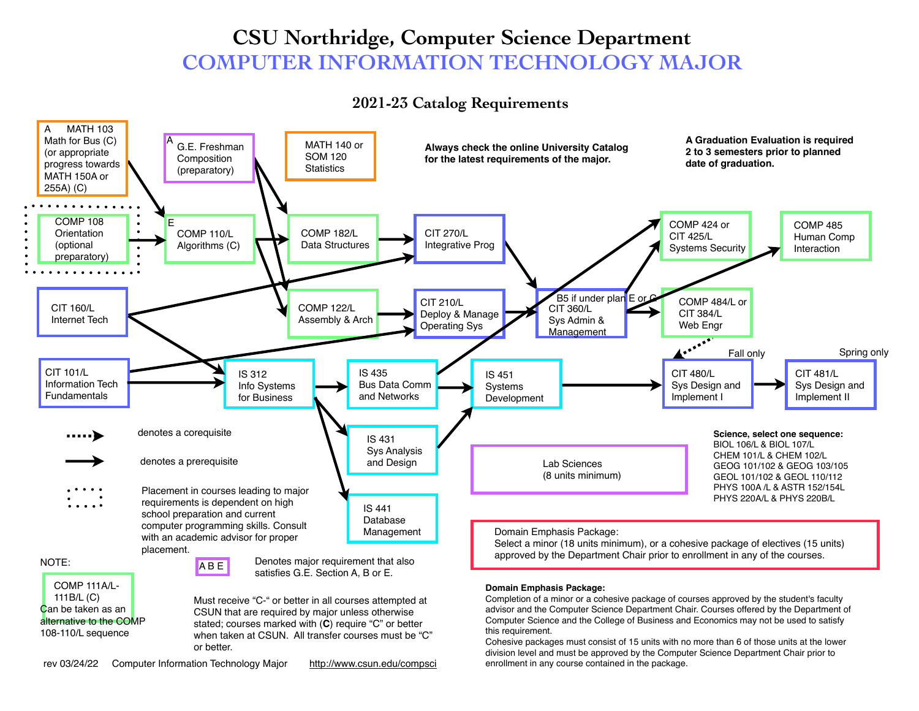# **CSU Northridge, Computer Science Department COMPUTER INFORMATION TECHNOLOGY MAJOR**

# **2021-23 Catalog Requirements**



enrollment in any course contained in the package.

rev 03/24/22 Computer Information Technology Major http://www.csun.edu/compsci